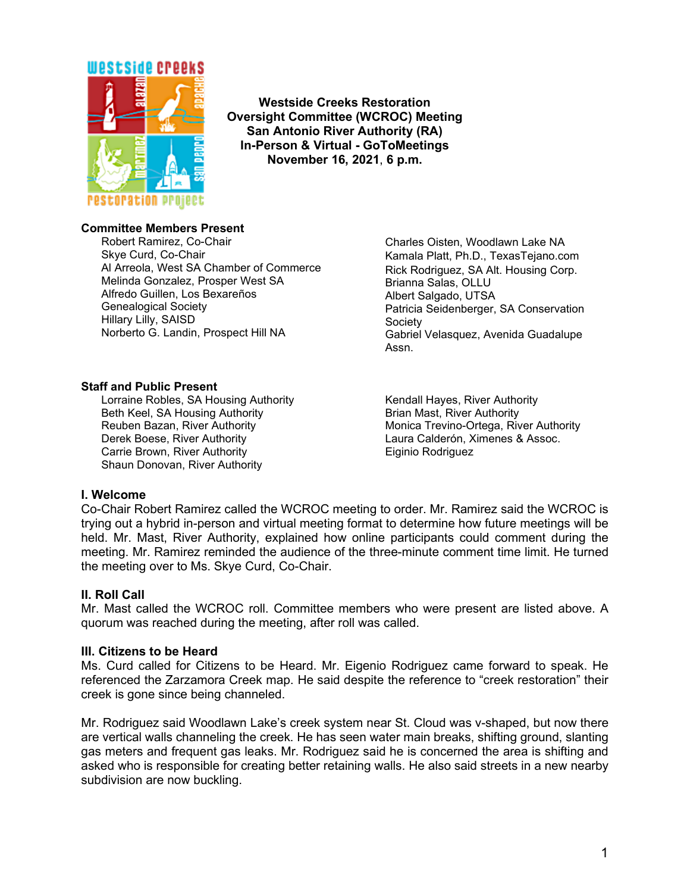

**Westside Creeks Restoration Oversight Committee (WCROC) Meeting San Antonio River Authority (RA) In-Person & Virtual - GoToMeetings November 16, 2021**, **6 p.m.**

## **Committee Members Present**

Robert Ramirez, Co-Chair Skye Curd, Co-Chair Al Arreola, West SA Chamber of Commerce Melinda Gonzalez, Prosper West SA Alfredo Guillen, Los Bexareños Genealogical Society Hillary Lilly, SAISD Norberto G. Landin, Prospect Hill NA

Charles Oisten, Woodlawn Lake NA Kamala Platt, Ph.D., TexasTejano.com Rick Rodriguez, SA Alt. Housing Corp. Brianna Salas, OLLU Albert Salgado, UTSA Patricia Seidenberger, SA Conservation Society Gabriel Velasquez, Avenida Guadalupe Assn.

## **Staff and Public Present**

Lorraine Robles, SA Housing Authority Beth Keel, SA Housing Authority Reuben Bazan, River Authority Derek Boese, River Authority Carrie Brown, River Authority Shaun Donovan, River Authority

Kendall Hayes, River Authority Brian Mast, River Authority Monica Trevino-Ortega, River Authority Laura Calderón, Ximenes & Assoc. Eiginio Rodriguez

#### **I. Welcome**

Co-Chair Robert Ramirez called the WCROC meeting to order. Mr. Ramirez said the WCROC is trying out a hybrid in-person and virtual meeting format to determine how future meetings will be held. Mr. Mast, River Authority, explained how online participants could comment during the meeting. Mr. Ramirez reminded the audience of the three-minute comment time limit. He turned the meeting over to Ms. Skye Curd, Co-Chair.

#### **II. Roll Call**

Mr. Mast called the WCROC roll. Committee members who were present are listed above. A quorum was reached during the meeting, after roll was called.

#### **III. Citizens to be Heard**

Ms. Curd called for Citizens to be Heard. Mr. Eigenio Rodriguez came forward to speak. He referenced the Zarzamora Creek map. He said despite the reference to "creek restoration" their creek is gone since being channeled.

Mr. Rodriguez said Woodlawn Lake's creek system near St. Cloud was v-shaped, but now there are vertical walls channeling the creek. He has seen water main breaks, shifting ground, slanting gas meters and frequent gas leaks. Mr. Rodriguez said he is concerned the area is shifting and asked who is responsible for creating better retaining walls. He also said streets in a new nearby subdivision are now buckling.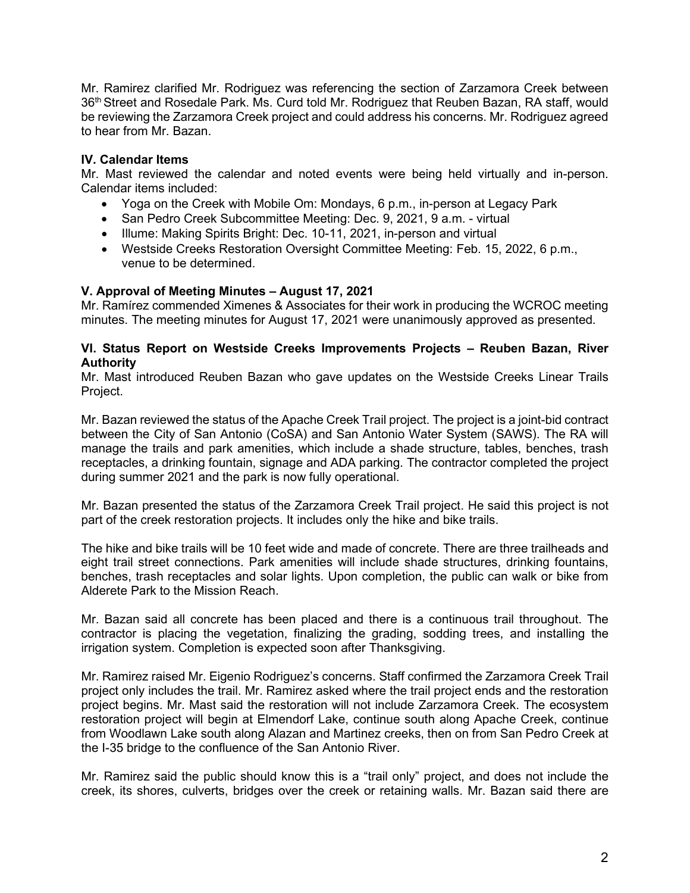Mr. Ramirez clarified Mr. Rodriguez was referencing the section of Zarzamora Creek between 36<sup>th</sup> Street and Rosedale Park. Ms. Curd told Mr. Rodriguez that Reuben Bazan, RA staff, would be reviewing the Zarzamora Creek project and could address his concerns. Mr. Rodriguez agreed to hear from Mr. Bazan.

# **IV. Calendar Items**

Mr. Mast reviewed the calendar and noted events were being held virtually and in-person. Calendar items included:

- Yoga on the Creek with Mobile Om: Mondays, 6 p.m., in-person at Legacy Park
- San Pedro Creek Subcommittee Meeting: Dec. 9, 2021, 9 a.m. virtual
- Illume: Making Spirits Bright: Dec. 10-11, 2021, in-person and virtual
- Westside Creeks Restoration Oversight Committee Meeting: Feb. 15, 2022, 6 p.m., venue to be determined.

# **V. Approval of Meeting Minutes – August 17, 2021**

Mr. Ramírez commended Ximenes & Associates for their work in producing the WCROC meeting minutes. The meeting minutes for August 17, 2021 were unanimously approved as presented.

## **VI. Status Report on Westside Creeks Improvements Projects – Reuben Bazan, River Authority**

Mr. Mast introduced Reuben Bazan who gave updates on the Westside Creeks Linear Trails Project.

Mr. Bazan reviewed the status of the Apache Creek Trail project. The project is a joint-bid contract between the City of San Antonio (CoSA) and San Antonio Water System (SAWS). The RA will manage the trails and park amenities, which include a shade structure, tables, benches, trash receptacles, a drinking fountain, signage and ADA parking. The contractor completed the project during summer 2021 and the park is now fully operational.

Mr. Bazan presented the status of the Zarzamora Creek Trail project. He said this project is not part of the creek restoration projects. It includes only the hike and bike trails.

The hike and bike trails will be 10 feet wide and made of concrete. There are three trailheads and eight trail street connections. Park amenities will include shade structures, drinking fountains, benches, trash receptacles and solar lights. Upon completion, the public can walk or bike from Alderete Park to the Mission Reach.

Mr. Bazan said all concrete has been placed and there is a continuous trail throughout. The contractor is placing the vegetation, finalizing the grading, sodding trees, and installing the irrigation system. Completion is expected soon after Thanksgiving.

Mr. Ramirez raised Mr. Eigenio Rodriguez's concerns. Staff confirmed the Zarzamora Creek Trail project only includes the trail. Mr. Ramirez asked where the trail project ends and the restoration project begins. Mr. Mast said the restoration will not include Zarzamora Creek. The ecosystem restoration project will begin at Elmendorf Lake, continue south along Apache Creek, continue from Woodlawn Lake south along Alazan and Martinez creeks, then on from San Pedro Creek at the I-35 bridge to the confluence of the San Antonio River.

Mr. Ramirez said the public should know this is a "trail only" project, and does not include the creek, its shores, culverts, bridges over the creek or retaining walls. Mr. Bazan said there are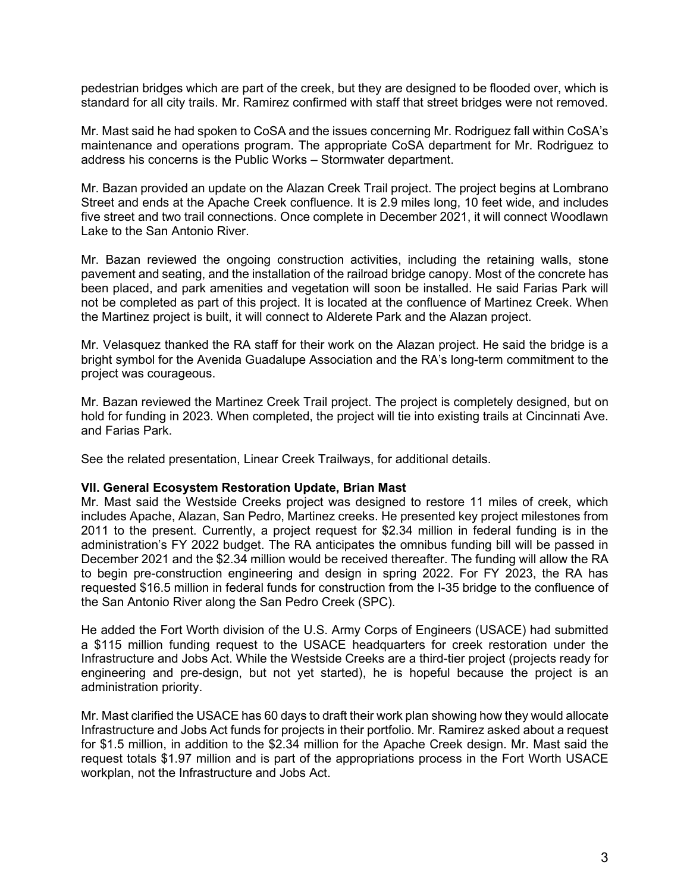pedestrian bridges which are part of the creek, but they are designed to be flooded over, which is standard for all city trails. Mr. Ramirez confirmed with staff that street bridges were not removed.

Mr. Mast said he had spoken to CoSA and the issues concerning Mr. Rodriguez fall within CoSA's maintenance and operations program. The appropriate CoSA department for Mr. Rodriguez to address his concerns is the Public Works – Stormwater department.

Mr. Bazan provided an update on the Alazan Creek Trail project. The project begins at Lombrano Street and ends at the Apache Creek confluence. It is 2.9 miles long, 10 feet wide, and includes five street and two trail connections. Once complete in December 2021, it will connect Woodlawn Lake to the San Antonio River.

Mr. Bazan reviewed the ongoing construction activities, including the retaining walls, stone pavement and seating, and the installation of the railroad bridge canopy. Most of the concrete has been placed, and park amenities and vegetation will soon be installed. He said Farias Park will not be completed as part of this project. It is located at the confluence of Martinez Creek. When the Martinez project is built, it will connect to Alderete Park and the Alazan project.

Mr. Velasquez thanked the RA staff for their work on the Alazan project. He said the bridge is a bright symbol for the Avenida Guadalupe Association and the RA's long-term commitment to the project was courageous.

Mr. Bazan reviewed the Martinez Creek Trail project. The project is completely designed, but on hold for funding in 2023. When completed, the project will tie into existing trails at Cincinnati Ave. and Farias Park.

See the related presentation, Linear Creek Trailways, for additional details.

# **VII. General Ecosystem Restoration Update, Brian Mast**

Mr. Mast said the Westside Creeks project was designed to restore 11 miles of creek, which includes Apache, Alazan, San Pedro, Martinez creeks. He presented key project milestones from 2011 to the present. Currently, a project request for \$2.34 million in federal funding is in the administration's FY 2022 budget. The RA anticipates the omnibus funding bill will be passed in December 2021 and the \$2.34 million would be received thereafter. The funding will allow the RA to begin pre-construction engineering and design in spring 2022. For FY 2023, the RA has requested \$16.5 million in federal funds for construction from the I-35 bridge to the confluence of the San Antonio River along the San Pedro Creek (SPC).

He added the Fort Worth division of the U.S. Army Corps of Engineers (USACE) had submitted a \$115 million funding request to the USACE headquarters for creek restoration under the Infrastructure and Jobs Act. While the Westside Creeks are a third-tier project (projects ready for engineering and pre-design, but not yet started), he is hopeful because the project is an administration priority.

Mr. Mast clarified the USACE has 60 days to draft their work plan showing how they would allocate Infrastructure and Jobs Act funds for projects in their portfolio. Mr. Ramirez asked about a request for \$1.5 million, in addition to the \$2.34 million for the Apache Creek design. Mr. Mast said the request totals \$1.97 million and is part of the appropriations process in the Fort Worth USACE workplan, not the Infrastructure and Jobs Act.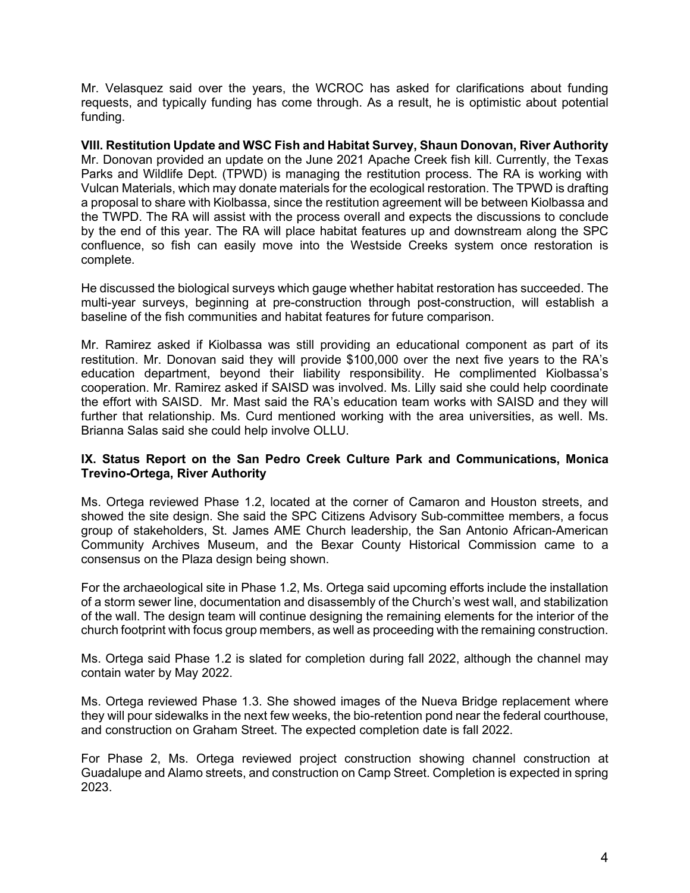Mr. Velasquez said over the years, the WCROC has asked for clarifications about funding requests, and typically funding has come through. As a result, he is optimistic about potential funding.

**VIII. Restitution Update and WSC Fish and Habitat Survey, Shaun Donovan, River Authority** Mr. Donovan provided an update on the June 2021 Apache Creek fish kill. Currently, the Texas Parks and Wildlife Dept. (TPWD) is managing the restitution process. The RA is working with Vulcan Materials, which may donate materials for the ecological restoration. The TPWD is drafting a proposal to share with Kiolbassa, since the restitution agreement will be between Kiolbassa and the TWPD. The RA will assist with the process overall and expects the discussions to conclude by the end of this year. The RA will place habitat features up and downstream along the SPC confluence, so fish can easily move into the Westside Creeks system once restoration is complete.

He discussed the biological surveys which gauge whether habitat restoration has succeeded. The multi-year surveys, beginning at pre-construction through post-construction, will establish a baseline of the fish communities and habitat features for future comparison.

Mr. Ramirez asked if Kiolbassa was still providing an educational component as part of its restitution. Mr. Donovan said they will provide \$100,000 over the next five years to the RA's education department, beyond their liability responsibility. He complimented Kiolbassa's cooperation. Mr. Ramirez asked if SAISD was involved. Ms. Lilly said she could help coordinate the effort with SAISD. Mr. Mast said the RA's education team works with SAISD and they will further that relationship. Ms. Curd mentioned working with the area universities, as well. Ms. Brianna Salas said she could help involve OLLU.

## **IX. Status Report on the San Pedro Creek Culture Park and Communications, Monica Trevino-Ortega, River Authority**

Ms. Ortega reviewed Phase 1.2, located at the corner of Camaron and Houston streets, and showed the site design. She said the SPC Citizens Advisory Sub-committee members, a focus group of stakeholders, St. James AME Church leadership, the San Antonio African-American Community Archives Museum, and the Bexar County Historical Commission came to a consensus on the Plaza design being shown.

For the archaeological site in Phase 1.2, Ms. Ortega said upcoming efforts include the installation of a storm sewer line, documentation and disassembly of the Church's west wall, and stabilization of the wall. The design team will continue designing the remaining elements for the interior of the church footprint with focus group members, as well as proceeding with the remaining construction.

Ms. Ortega said Phase 1.2 is slated for completion during fall 2022, although the channel may contain water by May 2022.

Ms. Ortega reviewed Phase 1.3. She showed images of the Nueva Bridge replacement where they will pour sidewalks in the next few weeks, the bio-retention pond near the federal courthouse, and construction on Graham Street. The expected completion date is fall 2022.

For Phase 2, Ms. Ortega reviewed project construction showing channel construction at Guadalupe and Alamo streets, and construction on Camp Street. Completion is expected in spring 2023.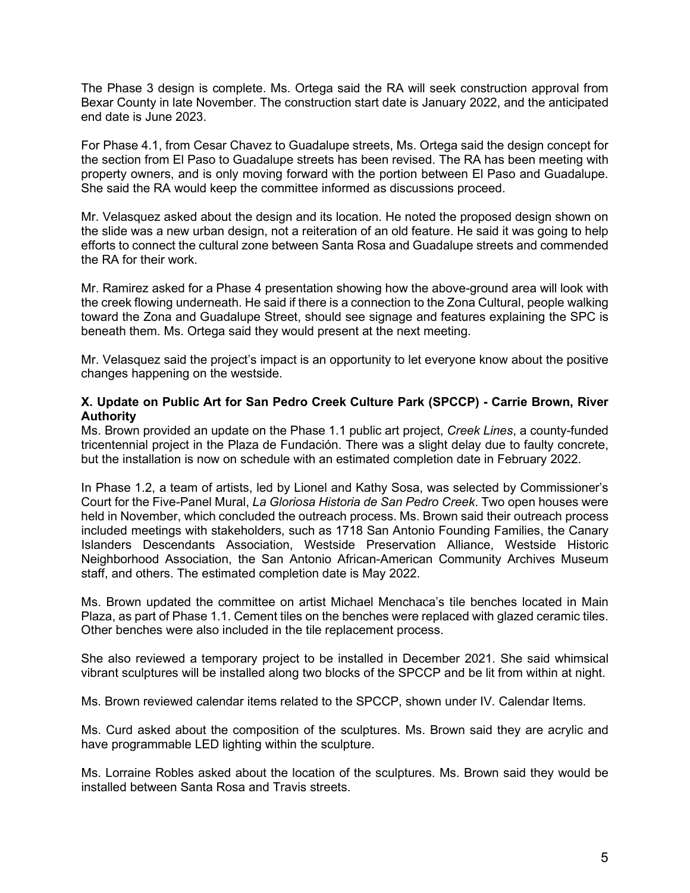The Phase 3 design is complete. Ms. Ortega said the RA will seek construction approval from Bexar County in late November. The construction start date is January 2022, and the anticipated end date is June 2023.

For Phase 4.1, from Cesar Chavez to Guadalupe streets, Ms. Ortega said the design concept for the section from El Paso to Guadalupe streets has been revised. The RA has been meeting with property owners, and is only moving forward with the portion between El Paso and Guadalupe. She said the RA would keep the committee informed as discussions proceed.

Mr. Velasquez asked about the design and its location. He noted the proposed design shown on the slide was a new urban design, not a reiteration of an old feature. He said it was going to help efforts to connect the cultural zone between Santa Rosa and Guadalupe streets and commended the RA for their work.

Mr. Ramirez asked for a Phase 4 presentation showing how the above-ground area will look with the creek flowing underneath. He said if there is a connection to the Zona Cultural, people walking toward the Zona and Guadalupe Street, should see signage and features explaining the SPC is beneath them. Ms. Ortega said they would present at the next meeting.

Mr. Velasquez said the project's impact is an opportunity to let everyone know about the positive changes happening on the westside.

## **X. Update on Public Art for San Pedro Creek Culture Park (SPCCP) - Carrie Brown, River Authority**

Ms. Brown provided an update on the Phase 1.1 public art project, *Creek Lines*, a county-funded tricentennial project in the Plaza de Fundación. There was a slight delay due to faulty concrete, but the installation is now on schedule with an estimated completion date in February 2022.

In Phase 1.2, a team of artists, led by Lionel and Kathy Sosa, was selected by Commissioner's Court for the Five-Panel Mural, *La Gloriosa Historia de San Pedro Creek*. Two open houses were held in November, which concluded the outreach process. Ms. Brown said their outreach process included meetings with stakeholders, such as 1718 San Antonio Founding Families, the Canary Islanders Descendants Association, Westside Preservation Alliance, Westside Historic Neighborhood Association, the San Antonio African-American Community Archives Museum staff, and others. The estimated completion date is May 2022.

Ms. Brown updated the committee on artist Michael Menchaca's tile benches located in Main Plaza, as part of Phase 1.1. Cement tiles on the benches were replaced with glazed ceramic tiles. Other benches were also included in the tile replacement process.

She also reviewed a temporary project to be installed in December 2021. She said whimsical vibrant sculptures will be installed along two blocks of the SPCCP and be lit from within at night.

Ms. Brown reviewed calendar items related to the SPCCP, shown under IV. Calendar Items.

Ms. Curd asked about the composition of the sculptures. Ms. Brown said they are acrylic and have programmable LED lighting within the sculpture.

Ms. Lorraine Robles asked about the location of the sculptures. Ms. Brown said they would be installed between Santa Rosa and Travis streets.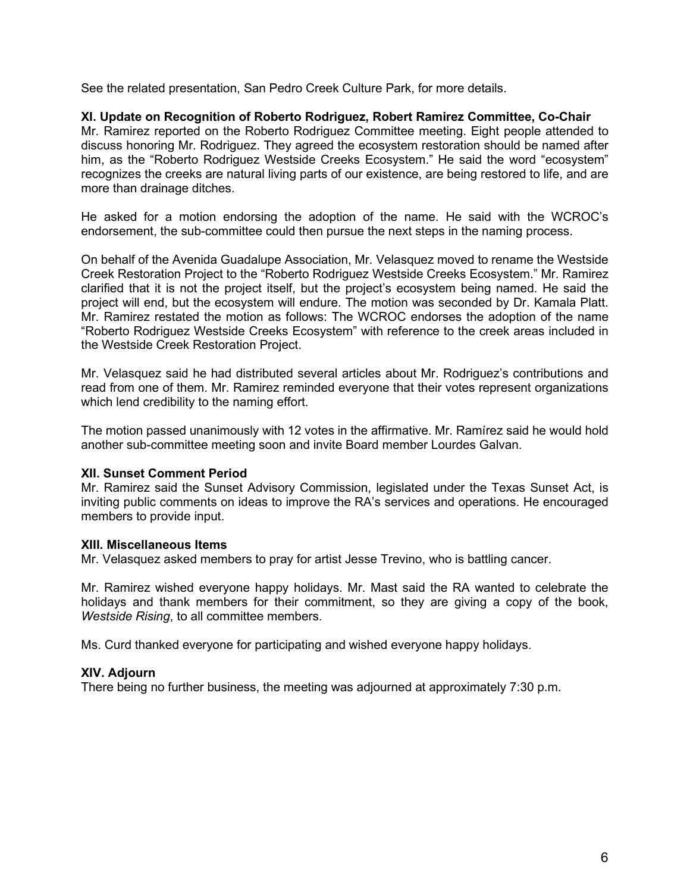See the related presentation, San Pedro Creek Culture Park, for more details.

# **XI. Update on Recognition of Roberto Rodriguez, Robert Ramirez Committee, Co-Chair**

Mr. Ramirez reported on the Roberto Rodriguez Committee meeting. Eight people attended to discuss honoring Mr. Rodriguez. They agreed the ecosystem restoration should be named after him, as the "Roberto Rodriguez Westside Creeks Ecosystem." He said the word "ecosystem" recognizes the creeks are natural living parts of our existence, are being restored to life, and are more than drainage ditches.

He asked for a motion endorsing the adoption of the name. He said with the WCROC's endorsement, the sub-committee could then pursue the next steps in the naming process.

On behalf of the Avenida Guadalupe Association, Mr. Velasquez moved to rename the Westside Creek Restoration Project to the "Roberto Rodriguez Westside Creeks Ecosystem." Mr. Ramirez clarified that it is not the project itself, but the project's ecosystem being named. He said the project will end, but the ecosystem will endure. The motion was seconded by Dr. Kamala Platt. Mr. Ramirez restated the motion as follows: The WCROC endorses the adoption of the name "Roberto Rodriguez Westside Creeks Ecosystem" with reference to the creek areas included in the Westside Creek Restoration Project.

Mr. Velasquez said he had distributed several articles about Mr. Rodriguez's contributions and read from one of them. Mr. Ramirez reminded everyone that their votes represent organizations which lend credibility to the naming effort.

The motion passed unanimously with 12 votes in the affirmative. Mr. Ramírez said he would hold another sub-committee meeting soon and invite Board member Lourdes Galvan.

# **XII. Sunset Comment Period**

Mr. Ramirez said the Sunset Advisory Commission, legislated under the Texas Sunset Act, is inviting public comments on ideas to improve the RA's services and operations. He encouraged members to provide input.

#### **XIII. Miscellaneous Items**

Mr. Velasquez asked members to pray for artist Jesse Trevino, who is battling cancer.

Mr. Ramirez wished everyone happy holidays. Mr. Mast said the RA wanted to celebrate the holidays and thank members for their commitment, so they are giving a copy of the book, *Westside Rising*, to all committee members.

Ms. Curd thanked everyone for participating and wished everyone happy holidays.

# **XIV. Adjourn**

There being no further business, the meeting was adjourned at approximately 7:30 p.m.